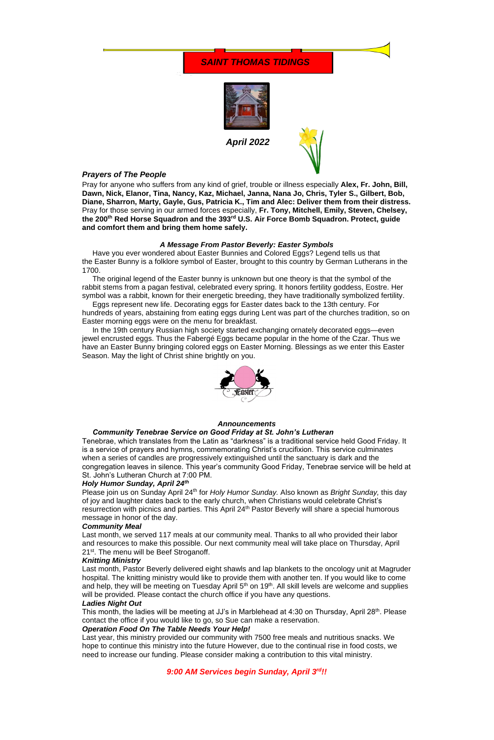*April 2022*

## *Prayers of The People*

Pray for anyone who suffers from any kind of grief, trouble or illness especially **Alex, Fr. John, Bill, Dawn, Nick, Elanor, Tina, Nancy, Kaz, Michael, Janna, Nana Jo, Chris, Tyler S., Gilbert, Bob, Diane, Sharron, Marty, Gayle, Gus, Patricia K., Tim and Alec: Deliver them from their distress.**  Pray for those serving in our armed forces especially, **Fr. Tony, Mitchell, Emily, Steven, Chelsey, the 200th Red Horse Squadron and the 393rd U.S. Air Force Bomb Squadron. Protect, guide and comfort them and bring them home safely.**

### *A Message From Pastor Beverly: Easter Symbols*

 Have you ever wondered about Easter Bunnies and Colored Eggs? Legend tells us that the Easter Bunny is a folklore symbol of Easter, brought to this country by German Lutherans in the 1700.

 The original legend of the Easter bunny is unknown but one theory is that the symbol of the rabbit stems from a pagan festival, celebrated every spring. It honors fertility goddess, Eostre. Her symbol was a rabbit, known for their energetic breeding, they have traditionally symbolized fertility.

Please join us on Sunday April 24th for *Holy Humor Sunday.* Also known as *Bright Sunday,* this day of joy and laughter dates back to the early church, when Christians would celebrate Christ's resurrection with picnics and parties. This April 24<sup>th</sup> Pastor Beverly will share a special humorous

 Eggs represent new life. Decorating eggs for Easter dates back to the 13th century. For hundreds of years, abstaining from eating eggs during Lent was part of the churches tradition, so on Easter morning eggs were on the menu for breakfast.

Last month, we served 117 meals at our community meal. Thanks to all who provided their labor and resources to make this possible. Our next community meal will take place on Thursday, April 21<sup>st</sup>. The menu will be Beef Stroganoff.

 In the 19th century Russian high society started exchanging ornately decorated eggs—even jewel encrusted eggs. Thus the Fabergé Eggs became popular in the home of the Czar. Thus we have an Easter Bunny bringing colored eggs on Easter Morning. Blessings as we enter this Easter Season. May the light of Christ shine brightly on you.



#### *Announcements*

This month, the ladies will be meeting at JJ's in Marblehead at 4:30 on Thursday, April 28<sup>th</sup>. Please contact the office if you would like to go, so Sue can make a reservation.

#### *Community Tenebrae Service on Good Friday at St. John's Lutheran*

Tenebrae, which translates from the Latin as "darkness" is a traditional service held Good Friday. It is a service of prayers and hymns, commemorating Christ's crucifixion. This service culminates when a series of candles are progressively extinguished until the sanctuary is dark and the congregation leaves in silence. This year's community Good Friday, Tenebrae service will be held at St. John's Lutheran Church at 7:00 PM.

#### *Holy Humor Sunday, April 24th*

#### message in honor of the day.

## *Community Meal*

## *Knitting Ministry*

Last month, Pastor Beverly delivered eight shawls and lap blankets to the oncology unit at Magruder hospital. The knitting ministry would like to provide them with another ten. If you would like to come and help, they will be meeting on Tuesday April  $5<sup>th</sup>$  on 19<sup>th</sup>. All skill levels are welcome and supplies will be provided. Please contact the church office if you have any questions.

## *Ladies Night Out*

## *Operation Food On The Table Needs Your Help!*

Last year, this ministry provided our community with 7500 free meals and nutritious snacks. We hope to continue this ministry into the future However, due to the continual rise in food costs, we need to increase our funding. Please consider making a contribution to this vital ministry.

# *9:00 AM Services begin Sunday, April 3rd!!*

# *SAINT THOMAS TIDINGS*